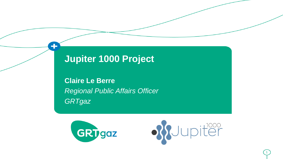# **Jupiter 1000 Project**

4

**Claire Le Berre** *Regional Public Affairs Officer GRTgaz*



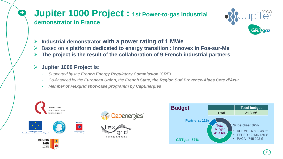### **Jupiter 1000 Project : 1st Power-to-gas industrial demonstrator in France**



- ➢ **Industrial demonstrator with a power rating of 1 MWe**
- ➢ Based on a **platform dedicated to energy transition : Innovex in Fos-sur-Me**
- ➢ **The project is the result of the collaboration of 9 French industrial partners**

#### ➢ **Jupiter 1000 Project is:**

**ADEME** 

- *Supported by the French Energy Regulatory Commission (CRE)*
- *Co-financed by the European Union, the French State, the Region Sud Provence-Alpes Cote d'Azur*
- *Member of Flexgrid showcase programm by CapEnergies*











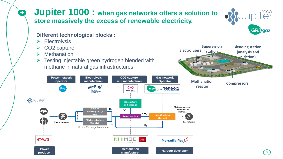### **Jupiter 1000 : when gas networks offers a solution to store massively the excess of renewable electricity.**

#### **Different technological blocks :**

**Electrolysis** 

Ŧ

- ➢ CO2 capture
- ➢ Methanation
- $\triangleright$  Testing injectable green hydrogen blended with methane in natural gas infrastructures





**Blending station (analysis and injection)**

**Electrolysers**

**Supervision station**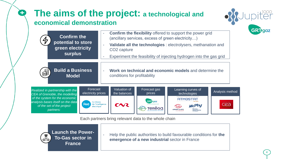## **The aims of the project: a technological and economical demonstration**



| <b>Confirm the</b><br>potential to store<br>green electricity<br>surplus                                                                                                            |                                                                                              | Confirm the flexibility offered to support the power grid<br>(ancillary services, excess of green electricity)<br>Validate all the technologies : electrolysers, methanation and<br>CO <sub>2</sub> capture<br>Experiment the feasibility of injecting hydrogen into the gas grid |                                   |                                                                                                 |                        |
|-------------------------------------------------------------------------------------------------------------------------------------------------------------------------------------|----------------------------------------------------------------------------------------------|-----------------------------------------------------------------------------------------------------------------------------------------------------------------------------------------------------------------------------------------------------------------------------------|-----------------------------------|-------------------------------------------------------------------------------------------------|------------------------|
| <b>Build a Business</b><br>€<br><b>Model</b>                                                                                                                                        |                                                                                              | Work on technical and economic models and determine the<br>conditions for profitability                                                                                                                                                                                           |                                   |                                                                                                 |                        |
| Realized in partnership with the<br>CEA of Grenoble, the modelling<br>of the system for the economic<br>analysis bases itself on the data<br>of the set of the project<br>partners: | Forecast<br>electricity prices<br>Le réseau<br><b>Rte</b><br>de l'intelligence<br>électrique | Valuation of<br>the balances<br>$\sim$                                                                                                                                                                                                                                            | Forecast gas<br>prices<br>GRI gaz | Learning curves of<br>technologies<br><b>ATMOSTAT</b><br><b>McPhy</b><br>Driving<br>clean energ | Analysis method<br>cez |

Each partners bring relevant data to the whole chain



0

- Help the public authorities to build favourable conditions for **the emergence of a new industrial** sector in France